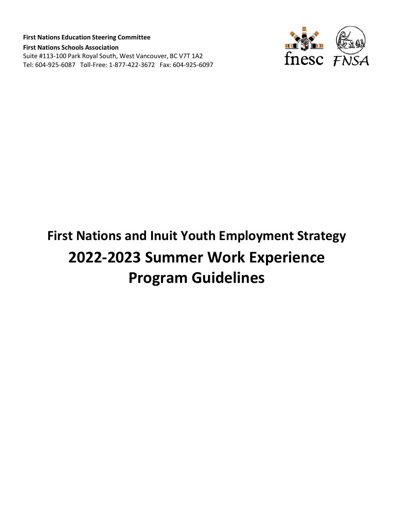**First Nations Education Steering Committee First Nations Schools Association** Suite #113-100 Park Royal South, West Vancouver, BC V7T 1A2 Tel: 604-925-6087 Toll-Free: 1-877-422-3672 Fax: 604-925-6097



# **First Nations and Inuit Youth Employment Strategy 2022-2023 Summer Work Experience Program Guidelines**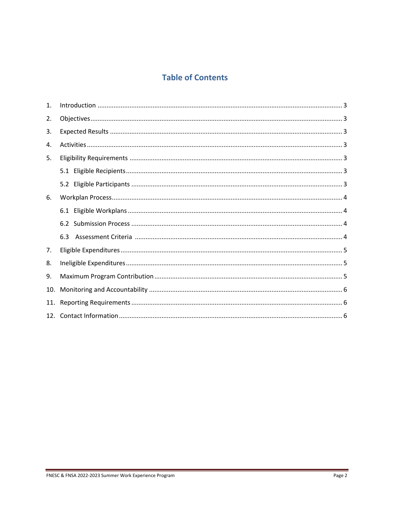# **Table of Contents**

| $\mathbf{1}$ . |  |
|----------------|--|
| 2.             |  |
| 3.             |  |
| 4.             |  |
| 5.             |  |
|                |  |
|                |  |
| 6.             |  |
|                |  |
|                |  |
|                |  |
| 7.             |  |
| 8.             |  |
| 9.             |  |
| 10.            |  |
| 11.            |  |
|                |  |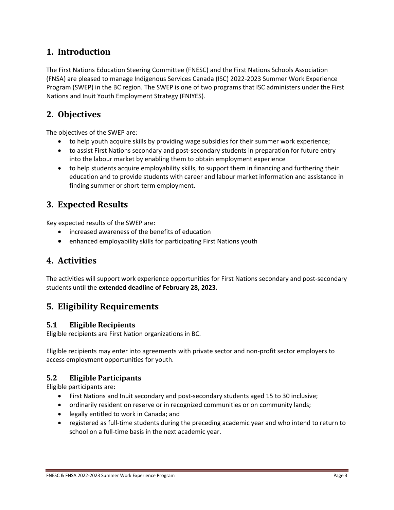# <span id="page-2-0"></span>**1. Introduction**

The First Nations Education Steering Committee (FNESC) and the First Nations Schools Association (FNSA) are pleased to manage Indigenous Services Canada (ISC) 2022-2023 Summer Work Experience Program (SWEP) in the BC region. The SWEP is one of two programs that ISC administers under the First Nations and Inuit Youth Employment Strategy (FNIYES).

# <span id="page-2-1"></span>**2. Objectives**

The objectives of the SWEP are:

- to help youth acquire skills by providing wage subsidies for their summer work experience;
- to assist First Nations secondary and post-secondary students in preparation for future entry into the labour market by enabling them to obtain employment experience
- to help students acquire employability skills, to support them in financing and furthering their education and to provide students with career and labour market information and assistance in finding summer or short-term employment.

# <span id="page-2-2"></span>**3. Expected Results**

Key expected results of the SWEP are:

- increased awareness of the benefits of education
- enhanced employability skills for participating First Nations youth

## <span id="page-2-3"></span>**4. Activities**

The activities will support work experience opportunities for First Nations secondary and post-secondary students until the **extended deadline of February 28, 2023.**

## <span id="page-2-4"></span>**5. Eligibility Requirements**

#### <span id="page-2-5"></span>**5.1 Eligible Recipients**

Eligible recipients are First Nation organizations in BC.

Eligible recipients may enter into agreements with private sector and non-profit sector employers to access employment opportunities for youth.

#### <span id="page-2-6"></span>**5.2 Eligible Participants**

Eligible participants are:

- First Nations and Inuit secondary and post-secondary students aged 15 to 30 inclusive;
- ordinarily resident on reserve or in recognized communities or on community lands;
- legally entitled to work in Canada; and
- registered as full-time students during the preceding academic year and who intend to return to school on a full-time basis in the next academic year.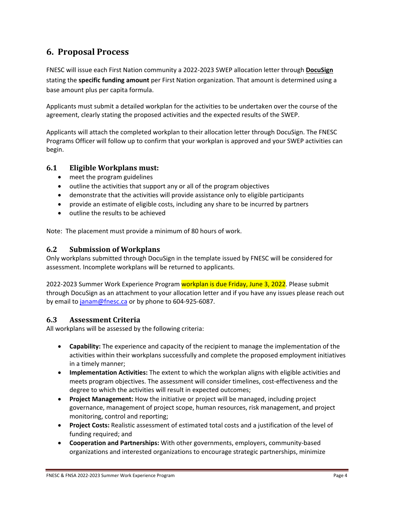# <span id="page-3-0"></span>**6. Proposal Process**

FNESC will issue each First Nation community a 2022-2023 SWEP allocation letter through **DocuSign** stating the **specific funding amount** per First Nation organization. That amount is determined using a base amount plus per capita formula.

Applicants must submit a detailed workplan for the activities to be undertaken over the course of the agreement, clearly stating the proposed activities and the expected results of the SWEP.

Applicants will attach the completed workplan to their allocation letter through DocuSign. The FNESC Programs Officer will follow up to confirm that your workplan is approved and your SWEP activities can begin.

#### **6.1 Eligible Workplans must:**

- meet the program guidelines
- outline the activities that support any or all of the program objectives
- demonstrate that the activities will provide assistance only to eligible participants
- provide an estimate of eligible costs, including any share to be incurred by partners
- outline the results to be achieved

Note: The placement must provide a minimum of 80 hours of work.

#### **6.2 Submission of Workplans**

Only workplans submitted through DocuSign in the template issued by FNESC will be considered for assessment. Incomplete workplans will be returned to applicants.

2022-2023 Summer Work Experience Program workplan is due Friday, June 3, 2022. Please submit through DocuSign as an attachment to your allocation letter and if you have any issues please reach out by email to [janam@fnesc.ca](mailto:janam@fnesc.ca) or by phone to 604-925-6087.

#### **6.3 Assessment Criteria**

All workplans will be assessed by the following criteria:

- **Capability:** The experience and capacity of the recipient to manage the implementation of the activities within their workplans successfully and complete the proposed employment initiatives in a timely manner;
- **Implementation Activities:** The extent to which the workplan aligns with eligible activities and meets program objectives. The assessment will consider timelines, cost-effectiveness and the degree to which the activities will result in expected outcomes;
- **Project Management:** How the initiative or project will be managed, including project governance, management of project scope, human resources, risk management, and project monitoring, control and reporting;
- **Project Costs:** Realistic assessment of estimated total costs and a justification of the level of funding required; and
- **Cooperation and Partnerships:** With other governments, employers, community-based organizations and interested organizations to encourage strategic partnerships, minimize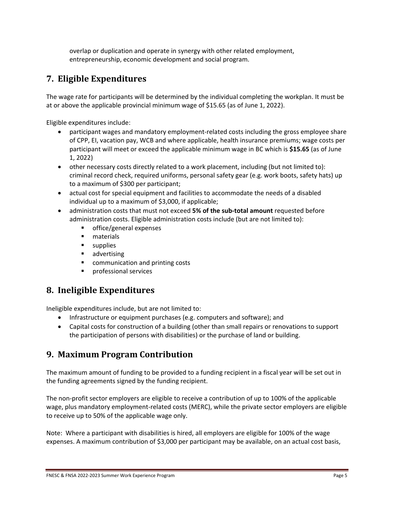overlap or duplication and operate in synergy with other related employment, entrepreneurship, economic development and social program.

# <span id="page-4-0"></span>**7. Eligible Expenditures**

The wage rate for participants will be determined by the individual completing the workplan. It must be at or above the applicable provincial minimum wage of \$15.65 (as of June 1, 2022).

Eligible expenditures include:

- participant wages and mandatory employment-related costs including the gross employee share of CPP, EI, vacation pay, WCB and where applicable, health insurance premiums; wage costs per participant will meet or exceed the applicable minimum wage in BC which is **\$15.65** (as of June 1, 2022)
- other necessary costs directly related to a work placement, including (but not limited to): criminal record check, required uniforms, personal safety gear (e.g. work boots, safety hats) up to a maximum of \$300 per participant;
- actual cost for special equipment and facilities to accommodate the needs of a disabled individual up to a maximum of \$3,000, if applicable;
- administration costs that must not exceed **5% of the sub-total amount** requested before administration costs. Eligible administration costs include (but are not limited to):
	- office/general expenses
	- **naterials**
	- **supplies**
	- **advertising**
	- communication and printing costs
	- **Phonolenal services**

# <span id="page-4-1"></span>**8. Ineligible Expenditures**

Ineligible expenditures include, but are not limited to:

- Infrastructure or equipment purchases (e.g. computers and software); and
- Capital costs for construction of a building (other than small repairs or renovations to support the participation of persons with disabilities) or the purchase of land or building.

## <span id="page-4-2"></span>**9. Maximum Program Contribution**

The maximum amount of funding to be provided to a funding recipient in a fiscal year will be set out in the funding agreements signed by the funding recipient.

The non-profit sector employers are eligible to receive a contribution of up to 100% of the applicable wage, plus mandatory employment-related costs (MERC), while the private sector employers are eligible to receive up to 50% of the applicable wage only.

Note: Where a participant with disabilities is hired, all employers are eligible for 100% of the wage expenses. A maximum contribution of \$3,000 per participant may be available, on an actual cost basis,